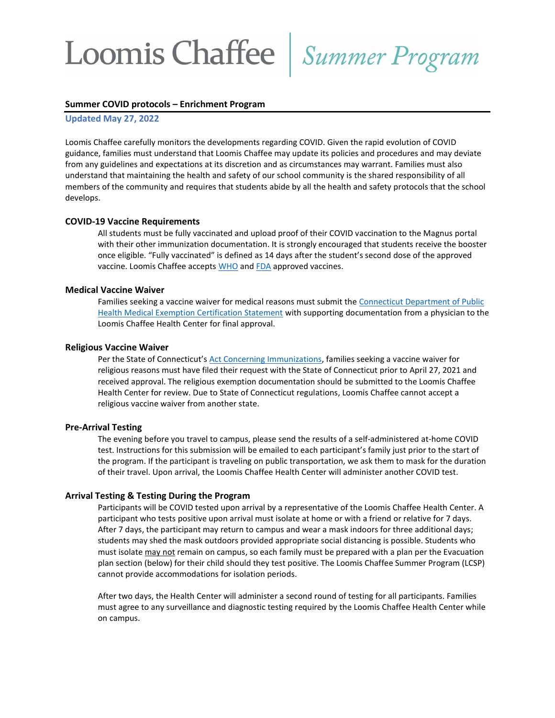## Loomis Chaffee | Summer Program

#### Summer COVID protocols – Enrichment Program

Updated May 27, 2022

Loomis Chaffee carefully monitors the developments regarding COVID. Given the rapid evolution of COVID guidance, families must understand that Loomis Chaffee may update its policies and procedures and may deviate from any guidelines and expectations at its discretion and as circumstances may warrant. Families must also understand that maintaining the health and safety of our school community is the shared responsibility of all members of the community and requires that students abide by all the health and safety protocols that the school develops.

### COVID-19 Vaccine Requirements

All students must be fully vaccinated and upload proof of their COVID vaccination to the Magnus portal with their other immunization documentation. It is strongly encouraged that students receive the booster once eligible. "Fully vaccinated" is defined as 14 days after the student's second dose of the approved vaccine. Loomis Chaffee accepts WHO and FDA approved vaccines.

## Medical Vaccine Waiver

Families seeking a vaccine waiver for medical reasons must submit the Connecticut Department of Public Health Medical Exemption Certification Statement with supporting documentation from a physician to the Loomis Chaffee Health Center for final approval.

#### Religious Vaccine Waiver

Per the State of Connecticut's Act Concerning Immunizations, families seeking a vaccine waiver for religious reasons must have filed their request with the State of Connecticut prior to April 27, 2021 and received approval. The religious exemption documentation should be submitted to the Loomis Chaffee Health Center for review. Due to State of Connecticut regulations, Loomis Chaffee cannot accept a religious vaccine waiver from another state.

#### Pre-Arrival Testing

The evening before you travel to campus, please send the results of a self-administered at-home COVID test. Instructions for this submission will be emailed to each participant's family just prior to the start of the program. If the participant is traveling on public transportation, we ask them to mask for the duration of their travel. Upon arrival, the Loomis Chaffee Health Center will administer another COVID test.

#### Arrival Testing & Testing During the Program

Participants will be COVID tested upon arrival by a representative of the Loomis Chaffee Health Center. A participant who tests positive upon arrival must isolate at home or with a friend or relative for 7 days. After 7 days, the participant may return to campus and wear a mask indoors for three additional days; students may shed the mask outdoors provided appropriate social distancing is possible. Students who must isolate may not remain on campus, so each family must be prepared with a plan per the Evacuation plan section (below) for their child should they test positive. The Loomis Chaffee Summer Program (LCSP) cannot provide accommodations for isolation periods.

After two days, the Health Center will administer a second round of testing for all participants. Families must agree to any surveillance and diagnostic testing required by the Loomis Chaffee Health Center while on campus.